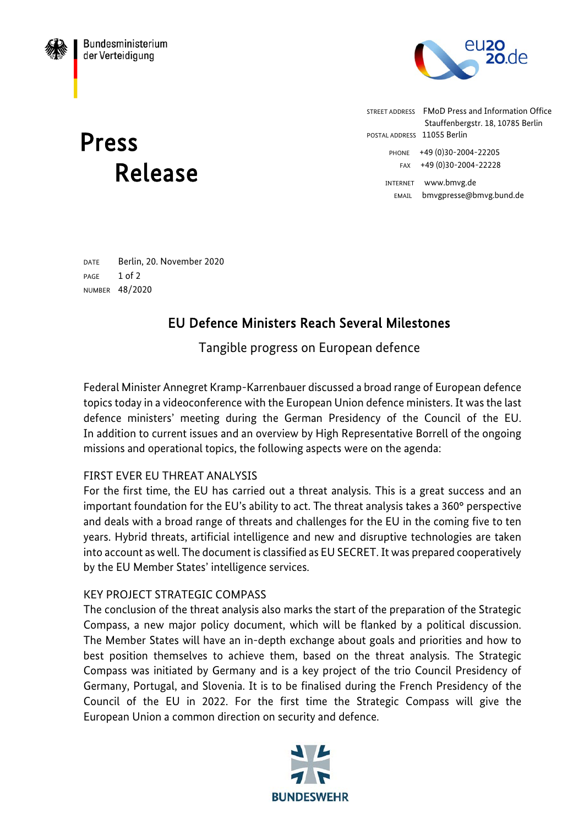

Press Release STREET ADDRESS FMoD Press and Information Office Stauffenbergstr. 18, 10785 Berlin POSTAL ADDRESS 11055 Berlin PHONE +49 (0)30-2004-22205 FAX +49 (0)30-2004-22228 INTERNET www.bmvg.de EMAIL bmvgpresse@bmvg.bund.de

DATE Berlin, 20. November 2020 PAGE 1 of 2 NUMBER 48/2020

# EU Defence Ministers Reach Several Milestones

Tangible progress on European defence

Federal Minister Annegret Kramp-Karrenbauer discussed a broad range of European defence topics today in a videoconference with the European Union defence ministers. It was the last defence ministers' meeting during the German Presidency of the Council of the EU. In addition to current issues and an overview by High Representative Borrell of the ongoing missions and operational topics, the following aspects were on the agenda:

# FIRST EVER EU THREAT ANALYSIS

For the first time, the EU has carried out a threat analysis. This is a great success and an important foundation for the EU's ability to act. The threat analysis takes a 360° perspective and deals with a broad range of threats and challenges for the EU in the coming five to ten years. Hybrid threats, artificial intelligence and new and disruptive technologies are taken into account as well. The document is classified as EU SECRET. It was prepared cooperatively by the EU Member States' intelligence services.

### KEY PROJECT STRATEGIC COMPASS

The conclusion of the threat analysis also marks the start of the preparation of the Strategic Compass, a new major policy document, which will be flanked by a political discussion. The Member States will have an in-depth exchange about goals and priorities and how to best position themselves to achieve them, based on the threat analysis. The Strategic Compass was initiated by Germany and is a key project of the trio Council Presidency of Germany, Portugal, and Slovenia. It is to be finalised during the French Presidency of the Council of the EU in 2022. For the first time the Strategic Compass will give the European Union a common direction on security and defence.